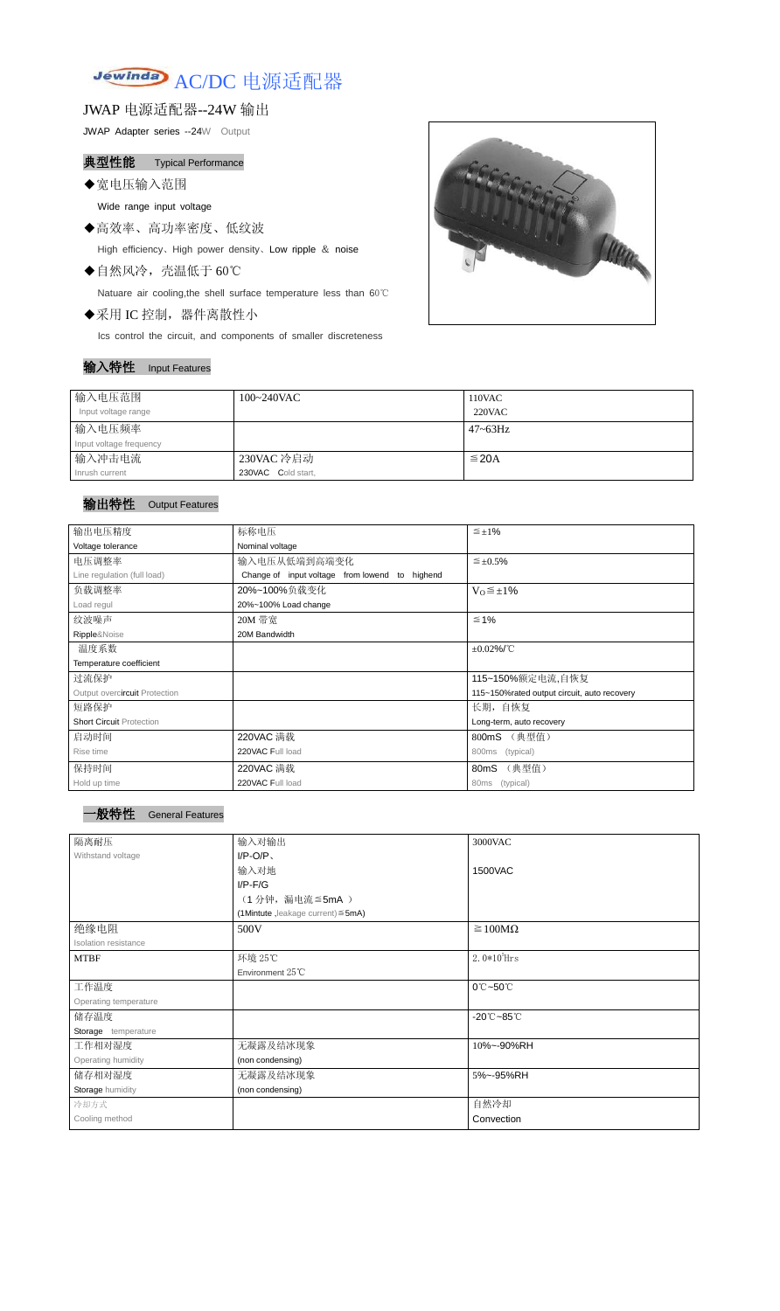

JWAP 电源适配器--24W 输出

JWAP Adapter series --24W Output

典型性能 Typical Performance

◆宽电压输入范围

Wide range input voltage

◆高效率、高功率密度、低纹波 High efficiency、High power density、Low ripple & noise

◆自然风冷,壳温低于 60℃

Natuare air cooling,the shell surface temperature less than 60℃

◆采用 IC 控制,器件离散性小

Ics control the circuit, and components of smaller discreteness

## 输入特性 Input Features



| 输入电压范围                  | $100 - 240$ VAC    | 110VAC       |
|-------------------------|--------------------|--------------|
| Input voltage range     |                    | 220VAC       |
| 输入电压频率                  |                    | $47 - 63$ Hz |
| Input voltage frequency |                    |              |
| 输入冲击电流                  | 230VAC 冷启动         | $\leq$ 20A   |
| Inrush current          | 230VAC Cold start, |              |

## 输出特性 Output Features



| 输出电压精度                          | 标称电压<br>$\leq \pm 1\%$                            |                                             |  |  |
|---------------------------------|---------------------------------------------------|---------------------------------------------|--|--|
| Voltage tolerance               | Nominal voltage                                   |                                             |  |  |
| 电压调整率                           | 输入电压从低端到高端变化                                      | $\leq \pm 0.5\%$                            |  |  |
| Line regulation (full load)     | Change of input voltage from lowend to highend    |                                             |  |  |
| 负载调整率                           | 20%~100%负载变化                                      | $V_0 \leq \pm 1\%$                          |  |  |
| Load regul                      | 20%~100% Load change                              |                                             |  |  |
| 纹波噪声                            | 20M 带宽                                            | $\leq 1\%$                                  |  |  |
| Ripple&Noise                    | 20M Bandwidth                                     |                                             |  |  |
| 温度系数                            |                                                   | $\pm 0.02\%$ /°C                            |  |  |
| Temperature coefficient         |                                                   |                                             |  |  |
| 过流保护                            |                                                   | 115~150%额定电流,自恢复                            |  |  |
| Output overcircuit Protection   |                                                   | 115~150%rated output circuit, auto recovery |  |  |
| 短路保护                            |                                                   | 长期, 自恢复                                     |  |  |
| <b>Short Circuit Protection</b> |                                                   | Long-term, auto recovery                    |  |  |
| 启动时间                            | 220VAC 满载                                         | (典型值)<br>800mS                              |  |  |
| Rise time                       | 220VAC Full load                                  | 800ms<br>(typical)                          |  |  |
| 保持时间                            | 220VAC 满载<br>(典型值)<br>80 <sub>m</sub> S           |                                             |  |  |
| Hold up time                    | 220VAC Full load<br>(typical)<br>80 <sub>ms</sub> |                                             |  |  |

| 隔离耐压                  | 输入对输出<br>3000VAC                   |                                 |  |
|-----------------------|------------------------------------|---------------------------------|--|
| Withstand voltage     | $I/P-O/P$                          |                                 |  |
|                       | 输入对地                               | 1500VAC                         |  |
|                       | $I/P$ - $F/G$                      |                                 |  |
|                       | (1分钟,漏电流 ≦5mA)                     |                                 |  |
|                       | (1Mintute, leakage current) ≤ 5mA) |                                 |  |
| 绝缘电阻                  | 500V                               | $\geq 100M\Omega$               |  |
| Isolation resistance  |                                    |                                 |  |
| <b>MTBF</b>           | 环境 25℃                             | $2.0*105$ Hrs                   |  |
|                       | Environment 25°C                   |                                 |  |
| 工作温度                  |                                    | 0°C~50°C                        |  |
| Operating temperature |                                    |                                 |  |
| 储存温度                  |                                    | $-20^{\circ}$ C $-85^{\circ}$ C |  |
| Storage temperature   |                                    |                                 |  |
| 工作相对湿度                | 无凝露及结冰现象                           | 10%~-90%RH                      |  |
| Operating humidity    | (non condensing)                   |                                 |  |
| 储存相对湿度                | 无凝露及结冰现象                           | 5%~-95%RH                       |  |
| Storage humidity      | (non condensing)                   |                                 |  |
| 冷却方式                  |                                    | 自然冷却                            |  |
| Cooling method        |                                    | Convection                      |  |